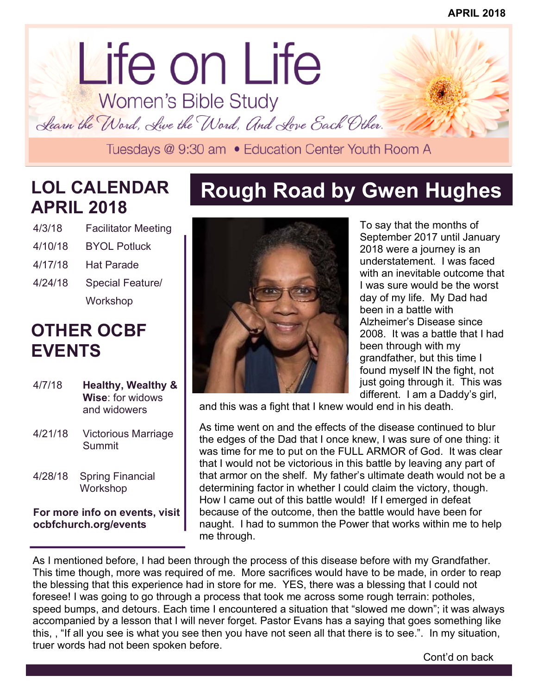# lorem ipsum dolor dolor sit amet. Life on Life<br>Women's Bible Study

Learn the Word, Live the Word, And Love Each Other.<br>Tuesdays @ 9:30 am • Education Center Youth Room A

## **LOL CALENDAR APRIL 2018**

| 4/3/18  | <b>Facilitator Meeting</b> |
|---------|----------------------------|
| 4/10/18 | <b>BYOL Potluck</b>        |
| 4/17/18 | Hat Parade                 |
| 4/24/18 | Special Feature/           |
|         | Workshop                   |

## **OTHER OCBF EVENTS**

| 4/7/18  | <b>Healthy, Wealthy &amp;</b><br>Wise: for widows<br>and widowers |
|---------|-------------------------------------------------------------------|
| 4/21/18 | Victorious Marriage<br>Summit                                     |
| 4/28/18 | <b>Spring Financial</b><br>Workshop                               |
|         |                                                                   |

**For more info on events, visit ocbfchurch.org/events** 

## **Rough Road by Gwen Hughes**



To say that the months of September 2017 until January 2018 were a journey is an understatement. I was faced with an inevitable outcome that I was sure would be the worst day of my life. My Dad had been in a battle with Alzheimer's Disease since 2008. It was a battle that I had been through with my grandfather, but this time I found myself IN the fight, not just going through it. This was different. I am a Daddy's girl,

and this was a fight that I knew would end in his death.

As time went on and the effects of the disease continued to blur the edges of the Dad that I once knew, I was sure of one thing: it was time for me to put on the FULL ARMOR of God. It was clear that I would not be victorious in this battle by leaving any part of that armor on the shelf. My father's ultimate death would not be a determining factor in whether I could claim the victory, though. How I came out of this battle would! If I emerged in defeat because of the outcome, then the battle would have been for naught. I had to summon the Power that works within me to help me through.

As I mentioned before, I had been through the process of this disease before with my Grandfather. This time though, more was required of me. More sacrifices would have to be made, in order to reap the blessing that this experience had in store for me. YES, there was a blessing that I could not foresee! I was going to go through a process that took me across some rough terrain: potholes, speed bumps, and detours. Each time I encountered a situation that "slowed me down"; it was always accompanied by a lesson that I will never forget. Pastor Evans has a saying that goes something like this, , "If all you see is what you see then you have not seen all that there is to see.". In my situation, truer words had not been spoken before.